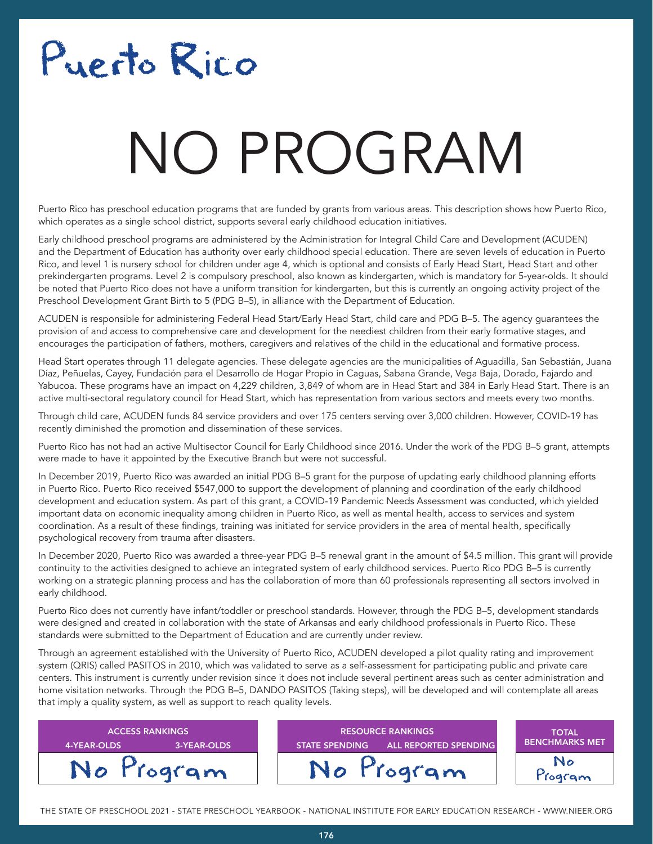# Puerto Rico

# NO PROGRAM

Puerto Rico has preschool education programs that are funded by grants from various areas. This description shows how Puerto Rico, which operates as a single school district, supports several early childhood education initiatives.

Early childhood preschool programs are administered by the Administration for Integral Child Care and Development (ACUDEN) and the Department of Education has authority over early childhood special education. There are seven levels of education in Puerto Rico, and level 1 is nursery school for children under age 4, which is optional and consists of Early Head Start, Head Start and other prekindergarten programs. Level 2 is compulsory preschool, also known as kindergarten, which is mandatory for 5-year-olds. It should be noted that Puerto Rico does not have a uniform transition for kindergarten, but this is currently an ongoing activity project of the Preschool Development Grant Birth to 5 (PDG B–5), in alliance with the Department of Education.

ACUDEN is responsible for administering Federal Head Start/Early Head Start, child care and PDG B–5. The agency guarantees the provision of and access to comprehensive care and development for the neediest children from their early formative stages, and encourages the participation of fathers, mothers, caregivers and relatives of the child in the educational and formative process.

Head Start operates through 11 delegate agencies. These delegate agencies are the municipalities of Aguadilla, San Sebastián, Juana Díaz, Peñuelas, Cayey, Fundación para el Desarrollo de Hogar Propio in Caguas, Sabana Grande, Vega Baja, Dorado, Fajardo and Yabucoa. These programs have an impact on 4,229 children, 3,849 of whom are in Head Start and 384 in Early Head Start. There is an active multi-sectoral regulatory council for Head Start, which has representation from various sectors and meets every two months.

Through child care, ACUDEN funds 84 service providers and over 175 centers serving over 3,000 children. However, COVID-19 has recently diminished the promotion and dissemination of these services.

Puerto Rico has not had an active Multisector Council for Early Childhood since 2016. Under the work of the PDG B–5 grant, attempts were made to have it appointed by the Executive Branch but were not successful.

In December 2019, Puerto Rico was awarded an initial PDG B–5 grant for the purpose of updating early childhood planning efforts in Puerto Rico. Puerto Rico received \$547,000 to support the development of planning and coordination of the early childhood development and education system. As part of this grant, a COVID-19 Pandemic Needs Assessment was conducted, which yielded important data on economic inequality among children in Puerto Rico, as well as mental health, access to services and system coordination. As a result of these findings, training was initiated for service providers in the area of mental health, specifically psychological recovery from trauma after disasters.

In December 2020, Puerto Rico was awarded a three-year PDG B–5 renewal grant in the amount of \$4.5 million. This grant will provide continuity to the activities designed to achieve an integrated system of early childhood services. Puerto Rico PDG B–5 is currently working on a strategic planning process and has the collaboration of more than 60 professionals representing all sectors involved in early childhood.

Puerto Rico does not currently have infant/toddler or preschool standards. However, through the PDG B–5, development standards were designed and created in collaboration with the state of Arkansas and early childhood professionals in Puerto Rico. These standards were submitted to the Department of Education and are currently under review.

Through an agreement established with the University of Puerto Rico, ACUDEN developed a pilot quality rating and improvement system (QRIS) called PASITOS in 2010, which was validated to serve as a self-assessment for participating public and private care centers. This instrument is currently under revision since it does not include several pertinent areas such as center administration and home visitation networks. Through the PDG B–5, DANDO PASITOS (Taking steps), will be developed and will contemplate all areas that imply a quality system, as well as support to reach quality levels.



THE STATE OF PRESCHOOL 2021 - STATE PRESCHOOL YEARBOOK - NATIONAL INSTITUTE FOR EARLY EDUCATION RESEARCH - WWW.NIEER.ORG